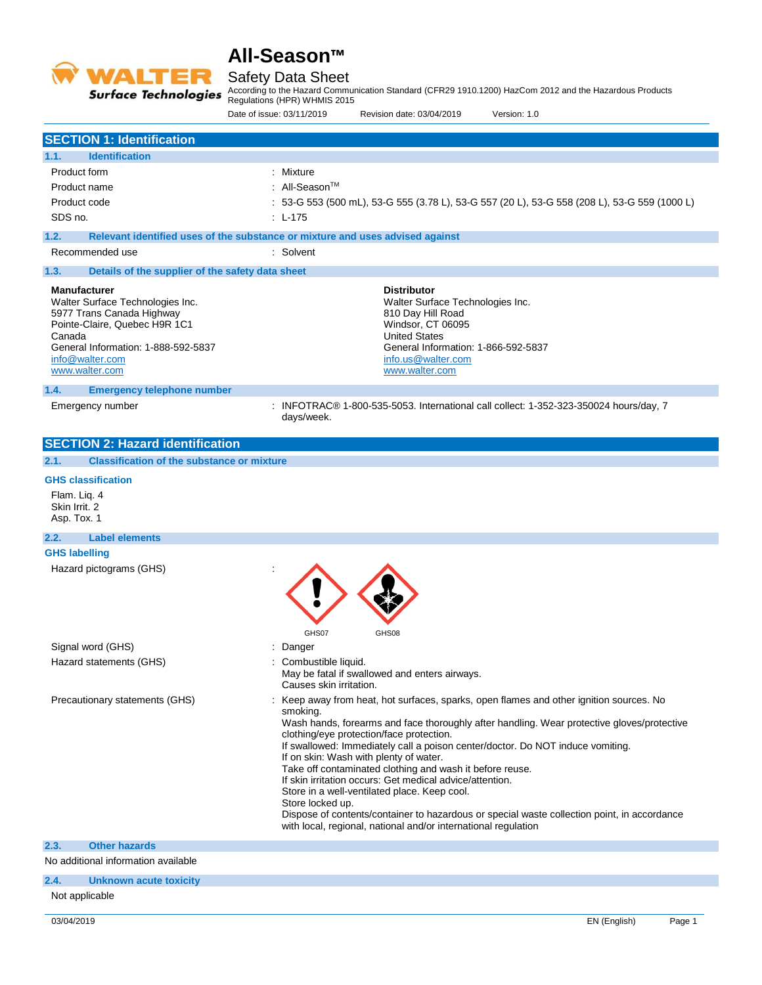

## Safety Data Sheet

According to the Hazard Communication Standard (CFR29 1910.1200) HazCom 2012 and the Hazardous Products

Regulations (HPR) WHMIS 2015

|                                                                                                                                                                                                             | Version: 1.0<br>Date of issue: 03/11/2019<br>Revision date: 03/04/2019                                                                                                                                                                                                                                                                                                                                                                                                                                                                                                                                                                                                                                                                 |
|-------------------------------------------------------------------------------------------------------------------------------------------------------------------------------------------------------------|----------------------------------------------------------------------------------------------------------------------------------------------------------------------------------------------------------------------------------------------------------------------------------------------------------------------------------------------------------------------------------------------------------------------------------------------------------------------------------------------------------------------------------------------------------------------------------------------------------------------------------------------------------------------------------------------------------------------------------------|
| <b>SECTION 1: Identification</b>                                                                                                                                                                            |                                                                                                                                                                                                                                                                                                                                                                                                                                                                                                                                                                                                                                                                                                                                        |
| <b>Identification</b><br>1.1.                                                                                                                                                                               |                                                                                                                                                                                                                                                                                                                                                                                                                                                                                                                                                                                                                                                                                                                                        |
| Product form                                                                                                                                                                                                | : Mixture                                                                                                                                                                                                                                                                                                                                                                                                                                                                                                                                                                                                                                                                                                                              |
| Product name                                                                                                                                                                                                | : All-Season <sup>TM</sup>                                                                                                                                                                                                                                                                                                                                                                                                                                                                                                                                                                                                                                                                                                             |
| Product code                                                                                                                                                                                                | : 53-G 553 (500 mL), 53-G 555 (3.78 L), 53-G 557 (20 L), 53-G 558 (208 L), 53-G 559 (1000 L)                                                                                                                                                                                                                                                                                                                                                                                                                                                                                                                                                                                                                                           |
| SDS no.                                                                                                                                                                                                     | : L-175                                                                                                                                                                                                                                                                                                                                                                                                                                                                                                                                                                                                                                                                                                                                |
| 1.2.                                                                                                                                                                                                        | Relevant identified uses of the substance or mixture and uses advised against                                                                                                                                                                                                                                                                                                                                                                                                                                                                                                                                                                                                                                                          |
| Recommended use                                                                                                                                                                                             | : Solvent                                                                                                                                                                                                                                                                                                                                                                                                                                                                                                                                                                                                                                                                                                                              |
| 1.3.<br>Details of the supplier of the safety data sheet                                                                                                                                                    |                                                                                                                                                                                                                                                                                                                                                                                                                                                                                                                                                                                                                                                                                                                                        |
| <b>Manufacturer</b><br>Walter Surface Technologies Inc.<br>5977 Trans Canada Highway<br>Pointe-Claire, Quebec H9R 1C1<br>Canada<br>General Information: 1-888-592-5837<br>info@walter.com<br>www.walter.com | <b>Distributor</b><br>Walter Surface Technologies Inc.<br>810 Day Hill Road<br>Windsor, CT 06095<br><b>United States</b><br>General Information: 1-866-592-5837<br>info.us@walter.com<br>www.walter.com                                                                                                                                                                                                                                                                                                                                                                                                                                                                                                                                |
| 1.4.<br><b>Emergency telephone number</b><br>Emergency number                                                                                                                                               | : INFOTRAC® 1-800-535-5053. International call collect: 1-352-323-350024 hours/day, 7                                                                                                                                                                                                                                                                                                                                                                                                                                                                                                                                                                                                                                                  |
|                                                                                                                                                                                                             | days/week.                                                                                                                                                                                                                                                                                                                                                                                                                                                                                                                                                                                                                                                                                                                             |
| <b>SECTION 2: Hazard identification</b>                                                                                                                                                                     |                                                                                                                                                                                                                                                                                                                                                                                                                                                                                                                                                                                                                                                                                                                                        |
| 2.1.<br><b>Classification of the substance or mixture</b>                                                                                                                                                   |                                                                                                                                                                                                                                                                                                                                                                                                                                                                                                                                                                                                                                                                                                                                        |
|                                                                                                                                                                                                             |                                                                                                                                                                                                                                                                                                                                                                                                                                                                                                                                                                                                                                                                                                                                        |
| <b>GHS classification</b><br>Flam. Liq. 4<br>Skin Irrit. 2<br>Asp. Tox. 1                                                                                                                                   |                                                                                                                                                                                                                                                                                                                                                                                                                                                                                                                                                                                                                                                                                                                                        |
| <b>Label elements</b><br>2.2.                                                                                                                                                                               |                                                                                                                                                                                                                                                                                                                                                                                                                                                                                                                                                                                                                                                                                                                                        |
| <b>GHS labelling</b>                                                                                                                                                                                        |                                                                                                                                                                                                                                                                                                                                                                                                                                                                                                                                                                                                                                                                                                                                        |
| Hazard pictograms (GHS)                                                                                                                                                                                     | GHS07<br>GHS08                                                                                                                                                                                                                                                                                                                                                                                                                                                                                                                                                                                                                                                                                                                         |
| Signal word (GHS)                                                                                                                                                                                           | Danger                                                                                                                                                                                                                                                                                                                                                                                                                                                                                                                                                                                                                                                                                                                                 |
| Hazard statements (GHS)                                                                                                                                                                                     | : Combustible liquid.<br>May be fatal if swallowed and enters airways.<br>Causes skin irritation.                                                                                                                                                                                                                                                                                                                                                                                                                                                                                                                                                                                                                                      |
| Precautionary statements (GHS)                                                                                                                                                                              | : Keep away from heat, hot surfaces, sparks, open flames and other ignition sources. No<br>smoking.<br>Wash hands, forearms and face thoroughly after handling. Wear protective gloves/protective<br>clothing/eye protection/face protection.<br>If swallowed: Immediately call a poison center/doctor. Do NOT induce vomiting.<br>If on skin: Wash with plenty of water.<br>Take off contaminated clothing and wash it before reuse.<br>If skin irritation occurs: Get medical advice/attention.<br>Store in a well-ventilated place. Keep cool.<br>Store locked up.<br>Dispose of contents/container to hazardous or special waste collection point, in accordance<br>with local, regional, national and/or international regulation |
| 2.3.<br><b>Other hazards</b>                                                                                                                                                                                |                                                                                                                                                                                                                                                                                                                                                                                                                                                                                                                                                                                                                                                                                                                                        |
| No additional information available                                                                                                                                                                         |                                                                                                                                                                                                                                                                                                                                                                                                                                                                                                                                                                                                                                                                                                                                        |
|                                                                                                                                                                                                             |                                                                                                                                                                                                                                                                                                                                                                                                                                                                                                                                                                                                                                                                                                                                        |

## **2.4. Unknown acute toxicity**

Not applicable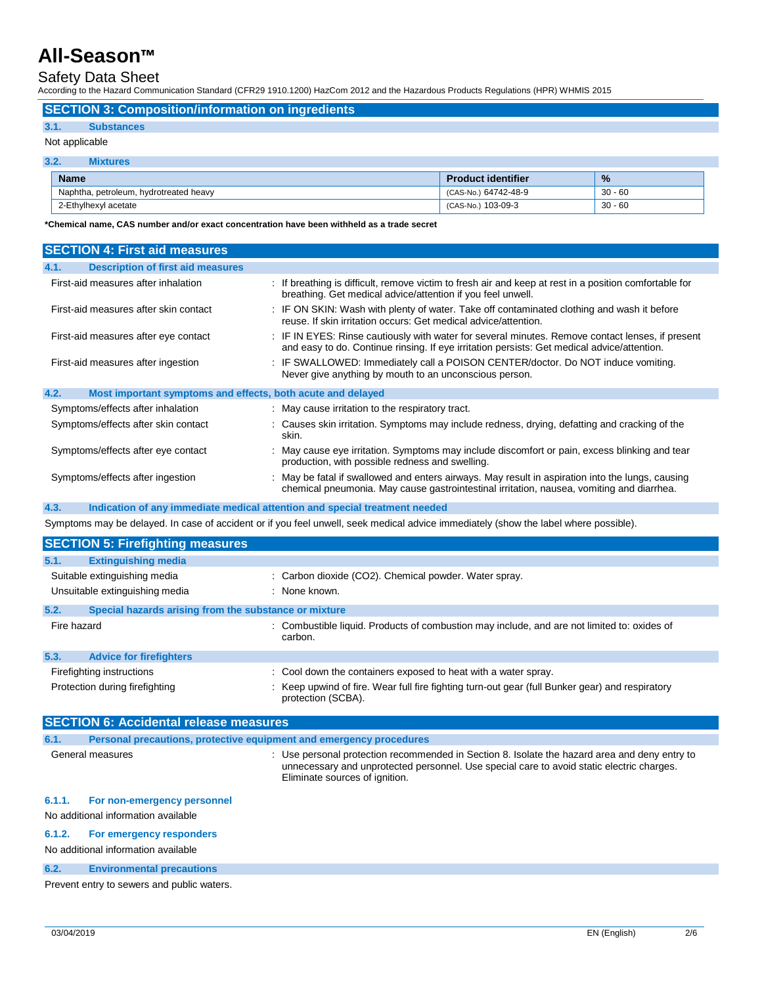### Safety Data Sheet

According to the Hazard Communication Standard (CFR29 1910.1200) HazCom 2012 and the Hazardous Products Regulations (HPR) WHMIS 2015

**SECTION 3: Composition/information on ingredients**

#### **3.1. Substances**

#### Not applicable

| 3.2.<br><b>Mixtures</b>                |                           |               |  |
|----------------------------------------|---------------------------|---------------|--|
| <b>Name</b>                            | <b>Product identifier</b> | $\frac{9}{6}$ |  |
| Naphtha, petroleum, hydrotreated heavy | (CAS-No.) 64742-48-9      | $30 - 60$     |  |
| 2-Ethylhexyl acetate                   | (CAS-No.) 103-09-3        | $30 - 60$     |  |

**\*Chemical name, CAS number and/or exact concentration have been withheld as a trade secret**

| <b>SECTION 4: First aid measures</b>                                |                                                                                                                                                                                                 |  |  |
|---------------------------------------------------------------------|-------------------------------------------------------------------------------------------------------------------------------------------------------------------------------------------------|--|--|
| <b>Description of first aid measures</b><br>4.1.                    |                                                                                                                                                                                                 |  |  |
| First-aid measures after inhalation                                 | : If breathing is difficult, remove victim to fresh air and keep at rest in a position comfortable for<br>breathing. Get medical advice/attention if you feel unwell.                           |  |  |
| First-aid measures after skin contact                               | : IF ON SKIN: Wash with plenty of water. Take off contaminated clothing and wash it before<br>reuse. If skin irritation occurs: Get medical advice/attention.                                   |  |  |
| First-aid measures after eye contact                                | : IF IN EYES: Rinse cautiously with water for several minutes. Remove contact lenses, if present<br>and easy to do. Continue rinsing. If eye irritation persists: Get medical advice/attention. |  |  |
| First-aid measures after ingestion                                  | : IF SWALLOWED: Immediately call a POISON CENTER/doctor. Do NOT induce vomiting.<br>Never give anything by mouth to an unconscious person.                                                      |  |  |
| 4.2.<br>Most important symptoms and effects, both acute and delayed |                                                                                                                                                                                                 |  |  |
| Symptoms/effects after inhalation                                   | : May cause irritation to the respiratory tract.                                                                                                                                                |  |  |
| Symptoms/effects after skin contact                                 | : Causes skin irritation. Symptoms may include redness, drying, defatting and cracking of the<br>skin.                                                                                          |  |  |
| Symptoms/effects after eye contact                                  | : May cause eye irritation. Symptoms may include discomfort or pain, excess blinking and tear<br>production, with possible redness and swelling.                                                |  |  |
| Symptoms/effects after ingestion                                    | : May be fatal if swallowed and enters airways. May result in aspiration into the lungs, causing<br>chemical pneumonia. May cause gastrointestinal irritation, nausea, vomiting and diarrhea.   |  |  |

#### **4.3. Indication of any immediate medical attention and special treatment needed**

Symptoms may be delayed. In case of accident or if you feel unwell, seek medical advice immediately (show the label where possible).

| <b>SECTION 5: Firefighting measures</b>                       |                                                                                                                       |  |  |
|---------------------------------------------------------------|-----------------------------------------------------------------------------------------------------------------------|--|--|
| 5.1.<br><b>Extinguishing media</b>                            |                                                                                                                       |  |  |
| Suitable extinguishing media                                  | : Carbon dioxide (CO2). Chemical powder. Water spray.                                                                 |  |  |
| Unsuitable extinguishing media                                | : None known.                                                                                                         |  |  |
| 5.2.<br>Special hazards arising from the substance or mixture |                                                                                                                       |  |  |
| Fire hazard                                                   | : Combustible liquid. Products of combustion may include, and are not limited to: oxides of<br>carbon.                |  |  |
| 5.3.<br><b>Advice for firefighters</b>                        |                                                                                                                       |  |  |
| Firefighting instructions                                     | : Cool down the containers exposed to heat with a water spray.                                                        |  |  |
| Protection during firefighting                                | : Keep upwind of fire. Wear full fire fighting turn-out gear (full Bunker gear) and respiratory<br>protection (SCBA). |  |  |

| <b>SECTION 6: Accidental release measures</b> |                                                                     |                                                                                                                                                                                                                              |
|-----------------------------------------------|---------------------------------------------------------------------|------------------------------------------------------------------------------------------------------------------------------------------------------------------------------------------------------------------------------|
| 6.1.                                          | Personal precautions, protective equipment and emergency procedures |                                                                                                                                                                                                                              |
|                                               | General measures                                                    | : Use personal protection recommended in Section 8. Isolate the hazard area and deny entry to<br>unnecessary and unprotected personnel. Use special care to avoid static electric charges.<br>Eliminate sources of ignition. |
| 6.1.1.                                        | For non-emergency personnel                                         |                                                                                                                                                                                                                              |

#### No additional information available

#### **6.1.2. For emergency responders**

No additional information available

#### **6.2. Environmental precautions**

Prevent entry to sewers and public waters.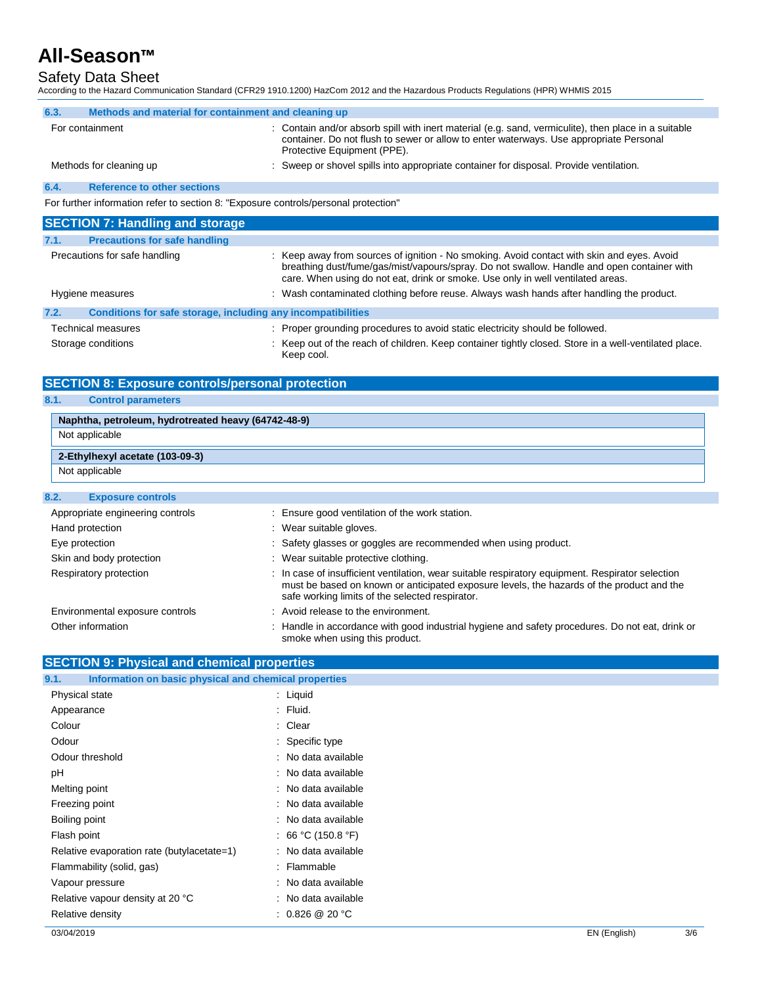## Safety Data Sheet

According to the Hazard Communication Standard (CFR29 1910.1200) HazCom 2012 and the Hazardous Products Regulations (HPR) WHMIS 2015

| 6.3. | Methods and material for containment and cleaning up                                |                                                                                                                                                                                                                                                                             |
|------|-------------------------------------------------------------------------------------|-----------------------------------------------------------------------------------------------------------------------------------------------------------------------------------------------------------------------------------------------------------------------------|
|      | For containment                                                                     | : Contain and/or absorb spill with inert material (e.g. sand, vermiculite), then place in a suitable<br>container. Do not flush to sewer or allow to enter waterways. Use appropriate Personal<br>Protective Equipment (PPE).                                               |
|      | Methods for cleaning up                                                             | : Sweep or shovel spills into appropriate container for disposal. Provide ventilation.                                                                                                                                                                                      |
| 6.4. | <b>Reference to other sections</b>                                                  |                                                                                                                                                                                                                                                                             |
|      | For further information refer to section 8: "Exposure controls/personal protection" |                                                                                                                                                                                                                                                                             |
|      | <b>SECTION 7: Handling and storage</b>                                              |                                                                                                                                                                                                                                                                             |
| 7.1. | <b>Precautions for safe handling</b>                                                |                                                                                                                                                                                                                                                                             |
|      | Precautions for safe handling                                                       | : Keep away from sources of ignition - No smoking. Avoid contact with skin and eyes. Avoid<br>breathing dust/fume/gas/mist/vapours/spray. Do not swallow. Handle and open container with<br>care. When using do not eat, drink or smoke. Use only in well ventilated areas. |
|      | Hygiene measures                                                                    | : Wash contaminated clothing before reuse. Always wash hands after handling the product.                                                                                                                                                                                    |
| 7.2. | Conditions for safe storage, including any incompatibilities                        |                                                                                                                                                                                                                                                                             |
|      | <b>Technical measures</b>                                                           | : Proper grounding procedures to avoid static electricity should be followed.                                                                                                                                                                                               |
|      | Storage conditions                                                                  | : Keep out of the reach of children. Keep container tightly closed. Store in a well-ventilated place.<br>Keep cool.                                                                                                                                                         |

### **SECTION 8: Exposure controls/personal protection**

### **8.1. Control parameters**

| Naphtha, petroleum, hydrotreated heavy (64742-48-9) |                                                |  |
|-----------------------------------------------------|------------------------------------------------|--|
| Not applicable                                      |                                                |  |
| 2-Ethylhexyl acetate (103-09-3)                     |                                                |  |
| Not applicable                                      |                                                |  |
| 8.2.<br><b>Exposure controls</b>                    |                                                |  |
| Appropriate engineering controls                    | : Ensure good ventilation of the work station. |  |

| Appropriate engineering controls | : Ensure good ventilation of the work station.                                                                                                                                                                                                   |
|----------------------------------|--------------------------------------------------------------------------------------------------------------------------------------------------------------------------------------------------------------------------------------------------|
| Hand protection                  | : Wear suitable gloves.                                                                                                                                                                                                                          |
| Eye protection                   | : Safety glasses or goggles are recommended when using product.                                                                                                                                                                                  |
| Skin and body protection         | : Wear suitable protective clothing.                                                                                                                                                                                                             |
| Respiratory protection           | : In case of insufficient ventilation, wear suitable respiratory equipment. Respirator selection<br>must be based on known or anticipated exposure levels, the hazards of the product and the<br>safe working limits of the selected respirator. |
| Environmental exposure controls  | : Avoid release to the environment.                                                                                                                                                                                                              |
| Other information                | : Handle in accordance with good industrial hygiene and safety procedures. Do not eat, drink or<br>smoke when using this product.                                                                                                                |

| <b>SECTION 9: Physical and chemical properties</b>            |                              |  |
|---------------------------------------------------------------|------------------------------|--|
| Information on basic physical and chemical properties<br>9.1. |                              |  |
| Physical state                                                | $:$ Liquid                   |  |
| Appearance                                                    | $:$ Fluid.                   |  |
| Colour                                                        | : Clear                      |  |
| Odour                                                         | : Specific type              |  |
| Odour threshold                                               | : No data available          |  |
| pH                                                            | : No data available          |  |
| Melting point                                                 | : No data available          |  |
| Freezing point                                                | : No data available          |  |
| Boiling point                                                 | : No data available          |  |
| Flash point                                                   | : 66 °C (150.8 °F)           |  |
| Relative evaporation rate (butylacetate=1)                    | : No data available          |  |
| Flammability (solid, gas)                                     | : Flammable                  |  |
| Vapour pressure                                               | : No data available          |  |
| Relative vapour density at 20 °C                              | : No data available          |  |
| Relative density                                              | : $0.826 \ @ \ 20 \degree C$ |  |
|                                                               |                              |  |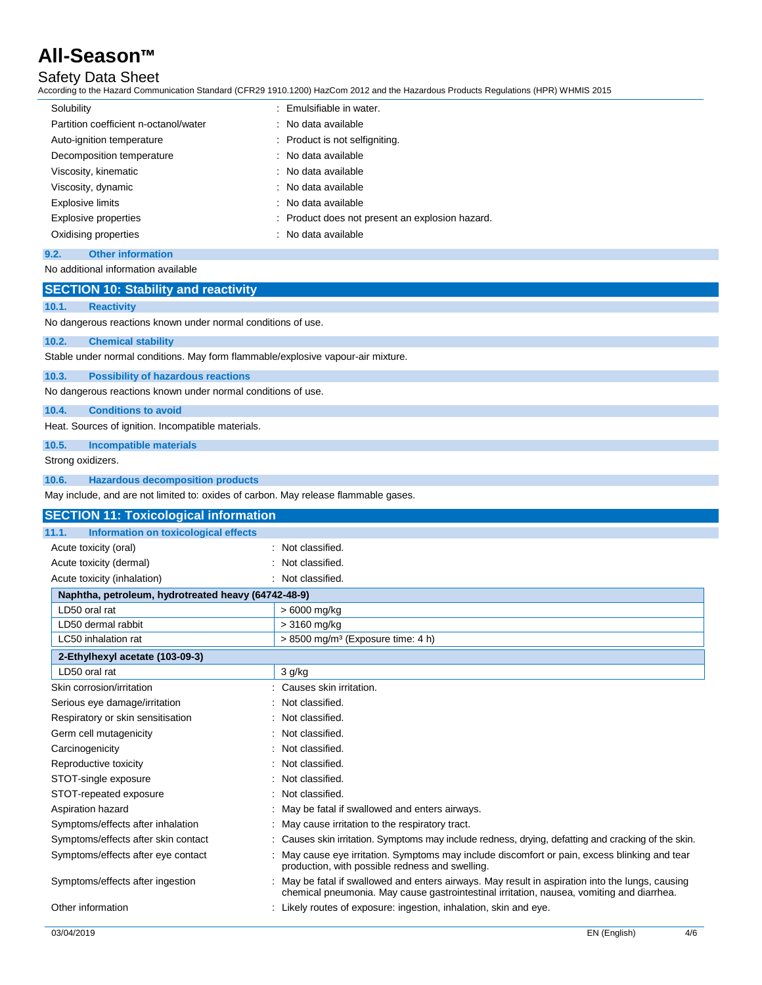## Safety Data Sheet

According to the Hazard Communication Standard (CFR29 1910.1200) HazCom 2012 and the Hazardous Products Regulations (HPR) WHMIS 2015

| Solubility                            | : Emulsifiable in water.                        |
|---------------------------------------|-------------------------------------------------|
| Partition coefficient n-octanol/water | : No data available                             |
| Auto-ignition temperature             | : Product is not selfigniting.                  |
| Decomposition temperature             | : No data available                             |
| Viscosity, kinematic                  | : No data available                             |
| Viscosity, dynamic                    | : No data available                             |
| <b>Explosive limits</b>               | : No data available                             |
| Explosive properties                  | : Product does not present an explosion hazard. |
| Oxidising properties                  | : No data available                             |
|                                       |                                                 |

### **9.2. Other information**

No additional information available

### **SECTION 10: Stability and reactivity**

**10.1. Reactivity**

No dangerous reactions known under normal conditions of use.

#### **10.2. Chemical stability**

Stable under normal conditions. May form flammable/explosive vapour-air mixture.

#### **10.3. Possibility of hazardous reactions**

No dangerous reactions known under normal conditions of use.

**10.4. Conditions to avoid**

Heat. Sources of ignition. Incompatible materials.

**10.5. Incompatible materials**

Strong oxidizers.

#### **10.6. Hazardous decomposition products**

May include, and are not limited to: oxides of carbon. May release flammable gases.

| <b>SECTION 11: Toxicological information</b>         |                                                                                                                                                                                             |  |  |
|------------------------------------------------------|---------------------------------------------------------------------------------------------------------------------------------------------------------------------------------------------|--|--|
| 11.1.<br><b>Information on toxicological effects</b> |                                                                                                                                                                                             |  |  |
| Acute toxicity (oral)                                | : Not classified.                                                                                                                                                                           |  |  |
| Acute toxicity (dermal)                              | Not classified.                                                                                                                                                                             |  |  |
| Acute toxicity (inhalation)                          | : Not classified.                                                                                                                                                                           |  |  |
| Naphtha, petroleum, hydrotreated heavy (64742-48-9)  |                                                                                                                                                                                             |  |  |
| LD50 oral rat                                        | > 6000 mg/kg                                                                                                                                                                                |  |  |
| LD50 dermal rabbit                                   | $>3160$ mg/kg                                                                                                                                                                               |  |  |
| LC50 inhalation rat                                  | > 8500 mg/m <sup>3</sup> (Exposure time: 4 h)                                                                                                                                               |  |  |
| 2-Ethylhexyl acetate (103-09-3)                      |                                                                                                                                                                                             |  |  |
| LD50 oral rat                                        | 3 g/kg                                                                                                                                                                                      |  |  |
| Skin corrosion/irritation                            | : Causes skin irritation.                                                                                                                                                                   |  |  |
| Serious eye damage/irritation                        | Not classified.                                                                                                                                                                             |  |  |
| Respiratory or skin sensitisation                    | : Not classified.                                                                                                                                                                           |  |  |
| Germ cell mutagenicity                               | Not classified.                                                                                                                                                                             |  |  |
| Carcinogenicity                                      | : Not classified.                                                                                                                                                                           |  |  |
| Reproductive toxicity                                | Not classified.                                                                                                                                                                             |  |  |
| STOT-single exposure                                 | : Not classified.                                                                                                                                                                           |  |  |
| STOT-repeated exposure                               | : Not classified.                                                                                                                                                                           |  |  |
| Aspiration hazard                                    | : May be fatal if swallowed and enters airways.                                                                                                                                             |  |  |
| Symptoms/effects after inhalation                    | May cause irritation to the respiratory tract.                                                                                                                                              |  |  |
| Symptoms/effects after skin contact                  | : Causes skin irritation. Symptoms may include redness, drying, defatting and cracking of the skin.                                                                                         |  |  |
| Symptoms/effects after eye contact                   | May cause eye irritation. Symptoms may include discomfort or pain, excess blinking and tear<br>production, with possible redness and swelling.                                              |  |  |
| Symptoms/effects after ingestion                     | May be fatal if swallowed and enters airways. May result in aspiration into the lungs, causing<br>chemical pneumonia. May cause gastrointestinal irritation, nausea, vomiting and diarrhea. |  |  |
| Other information                                    | : Likely routes of exposure: ingestion, inhalation, skin and eye.                                                                                                                           |  |  |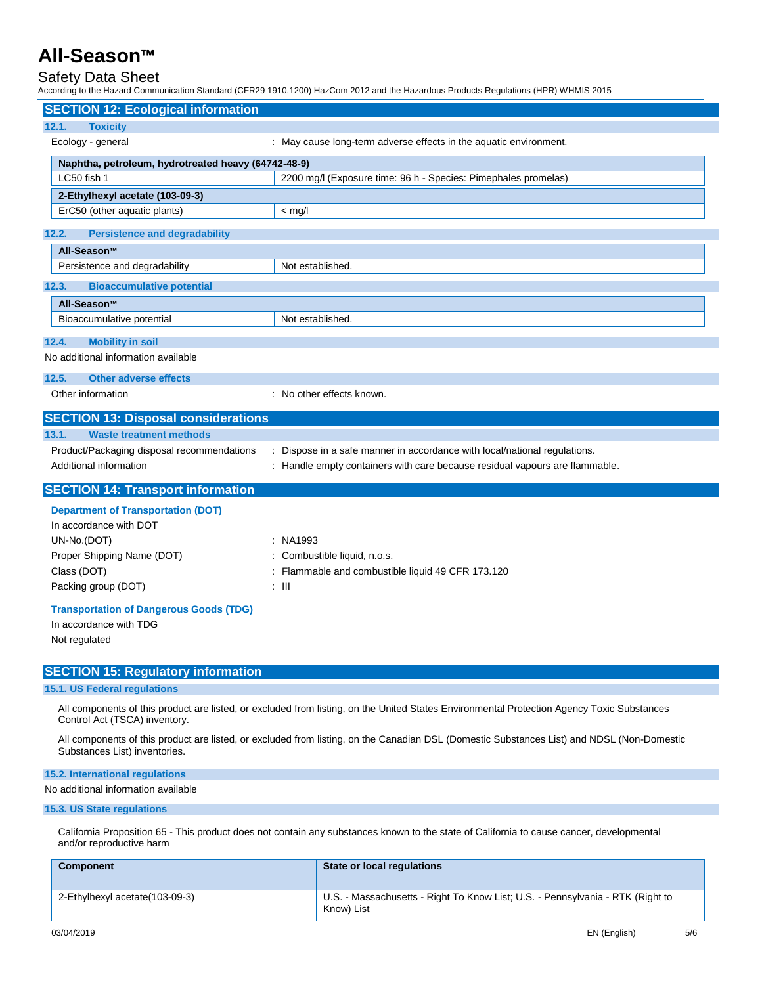## Safety Data Sheet

According to the Hazard Communication Standard (CFR29 1910.1200) HazCom 2012 and the Hazardous Products Regulations (HPR) WHMIS 2015

|                                                                                                                                                                             | יכטועווען נט נופ רומבמוט טטוווווטווטמוטו טנמוטמוט (טו ולבט דטרובטט) רומבטטוו בטדב מוט נופ רומבמוטטט רדוטטטטט ויפעטומוטוס (דורוק) אירוואוס בטדס |  |
|-----------------------------------------------------------------------------------------------------------------------------------------------------------------------------|------------------------------------------------------------------------------------------------------------------------------------------------|--|
| <b>SECTION 12: Ecological information</b>                                                                                                                                   |                                                                                                                                                |  |
| 12.1.<br><b>Toxicity</b>                                                                                                                                                    |                                                                                                                                                |  |
| Ecology - general                                                                                                                                                           | : May cause long-term adverse effects in the aquatic environment.                                                                              |  |
| Naphtha, petroleum, hydrotreated heavy (64742-48-9)                                                                                                                         |                                                                                                                                                |  |
| LC50 fish 1                                                                                                                                                                 | 2200 mg/l (Exposure time: 96 h - Species: Pimephales promelas)                                                                                 |  |
| 2-Ethylhexyl acetate (103-09-3)                                                                                                                                             |                                                                                                                                                |  |
| ErC50 (other aquatic plants)                                                                                                                                                | $<$ mg/l                                                                                                                                       |  |
| 12.2.<br><b>Persistence and degradability</b>                                                                                                                               |                                                                                                                                                |  |
| All-Season™                                                                                                                                                                 |                                                                                                                                                |  |
| Persistence and degradability                                                                                                                                               | Not established.                                                                                                                               |  |
| <b>Bioaccumulative potential</b><br>12.3.                                                                                                                                   |                                                                                                                                                |  |
| All-Season™                                                                                                                                                                 |                                                                                                                                                |  |
| Bioaccumulative potential                                                                                                                                                   | Not established.                                                                                                                               |  |
| 12.4.<br><b>Mobility in soil</b>                                                                                                                                            |                                                                                                                                                |  |
| No additional information available                                                                                                                                         |                                                                                                                                                |  |
| 12.5.<br><b>Other adverse effects</b>                                                                                                                                       |                                                                                                                                                |  |
| Other information                                                                                                                                                           | : No other effects known.                                                                                                                      |  |
|                                                                                                                                                                             |                                                                                                                                                |  |
| <b>SECTION 13: Disposal considerations</b>                                                                                                                                  |                                                                                                                                                |  |
| 13.1.<br><b>Waste treatment methods</b>                                                                                                                                     |                                                                                                                                                |  |
| Product/Packaging disposal recommendations                                                                                                                                  | Dispose in a safe manner in accordance with local/national regulations.                                                                        |  |
| Additional information                                                                                                                                                      | : Handle empty containers with care because residual vapours are flammable.                                                                    |  |
| <b>SECTION 14: Transport information</b>                                                                                                                                    |                                                                                                                                                |  |
| <b>Department of Transportation (DOT)</b>                                                                                                                                   |                                                                                                                                                |  |
| In accordance with DOT                                                                                                                                                      |                                                                                                                                                |  |
| UN-No.(DOT)                                                                                                                                                                 | : NA1993                                                                                                                                       |  |
| Proper Shipping Name (DOT)                                                                                                                                                  | Combustible liquid, n.o.s.                                                                                                                     |  |
| Class (DOT)                                                                                                                                                                 | Flammable and combustible liquid 49 CFR 173.120                                                                                                |  |
| Packing group (DOT)                                                                                                                                                         | : III                                                                                                                                          |  |
| <b>Transportation of Dangerous Goods (TDG)</b>                                                                                                                              |                                                                                                                                                |  |
| In accordance with TDG                                                                                                                                                      |                                                                                                                                                |  |
| Not regulated                                                                                                                                                               |                                                                                                                                                |  |
|                                                                                                                                                                             |                                                                                                                                                |  |
| <b>SECTION 15: Regulatory information</b>                                                                                                                                   |                                                                                                                                                |  |
| 15.1. US Federal regulations                                                                                                                                                |                                                                                                                                                |  |
| All components of this product are listed, or excluded from listing, on the United States Environmental Protection Agency Toxic Substances<br>Control Act (TSCA) inventory. |                                                                                                                                                |  |
| All components of this product are listed, or excluded from listing, on the Canadian DSL (Domestic Substances List) and NDSL (Non-Domestic<br>Substances List) inventories. |                                                                                                                                                |  |
| 15.2. International regulations                                                                                                                                             |                                                                                                                                                |  |
| No additional information available                                                                                                                                         |                                                                                                                                                |  |
| 15.3. US State regulations                                                                                                                                                  |                                                                                                                                                |  |
| and/or reproductive harm                                                                                                                                                    | California Proposition 65 - This product does not contain any substances known to the state of California to cause cancer, developmental       |  |
| <b>Component</b>                                                                                                                                                            | <b>State or local regulations</b>                                                                                                              |  |